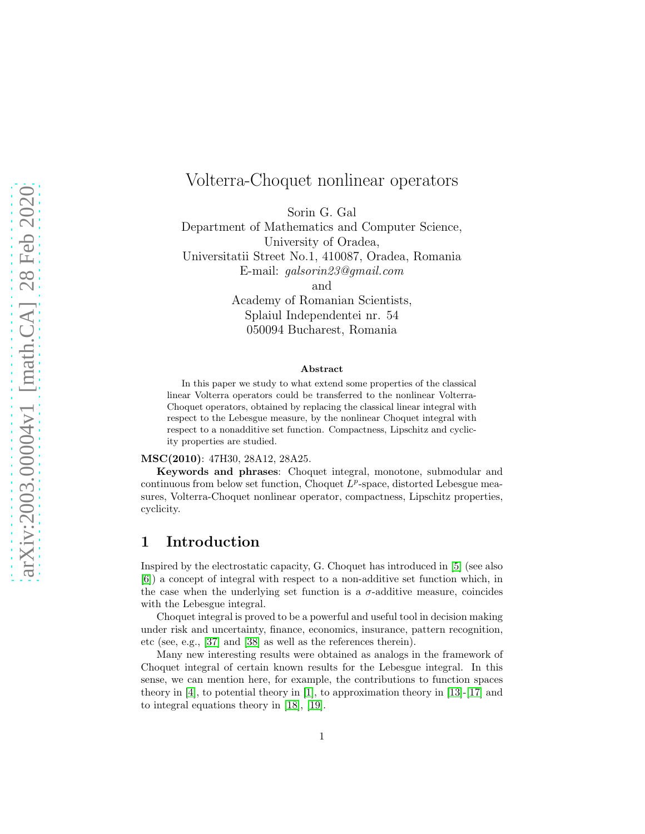# Volterra-Choquet nonlinear operators

Sorin G. Gal

Department of Mathematics and Computer Science, University of Oradea,

Universitatii Street No.1, 410087, Oradea, Romania E-mail: galsorin23@gmail.com

and

Academy of Romanian Scientists, Splaiul Independentei nr. 54 050094 Bucharest, Romania

#### Abstract

In this paper we study to what extend some properties of the classical linear Volterra operators could be transferred to the nonlinear Volterra-Choquet operators, obtained by replacing the classical linear integral with respect to the Lebesgue measure, by the nonlinear Choquet integral with respect to a nonadditive set function. Compactness, Lipschitz and cyclicity properties are studied.

#### MSC(2010): 47H30, 28A12, 28A25.

Keywords and phrases: Choquet integral, monotone, submodular and continuous from below set function, Choquet  $L^p$ -space, distorted Lebesgue measures, Volterra-Choquet nonlinear operator, compactness, Lipschitz properties, cyclicity.

### 1 Introduction

Inspired by the electrostatic capacity, G. Choquet has introduced in [\[5\]](#page-14-0) (see also [\[6\]](#page-14-1)) a concept of integral with respect to a non-additive set function which, in the case when the underlying set function is a  $\sigma$ -additive measure, coincides with the Lebesgue integral.

Choquet integral is proved to be a powerful and useful tool in decision making under risk and uncertainty, finance, economics, insurance, pattern recognition, etc (see, e.g., [\[37\]](#page-16-0) and [\[38\]](#page-16-1) as well as the references therein).

Many new interesting results were obtained as analogs in the framework of Choquet integral of certain known results for the Lebesgue integral. In this sense, we can mention here, for example, the contributions to function spaces theory in [\[4\]](#page-14-2), to potential theory in [\[1\]](#page-14-3), to approximation theory in [\[13\]](#page-14-4)-[\[17\]](#page-15-0) and to integral equations theory in [\[18\]](#page-15-1), [\[19\]](#page-15-2).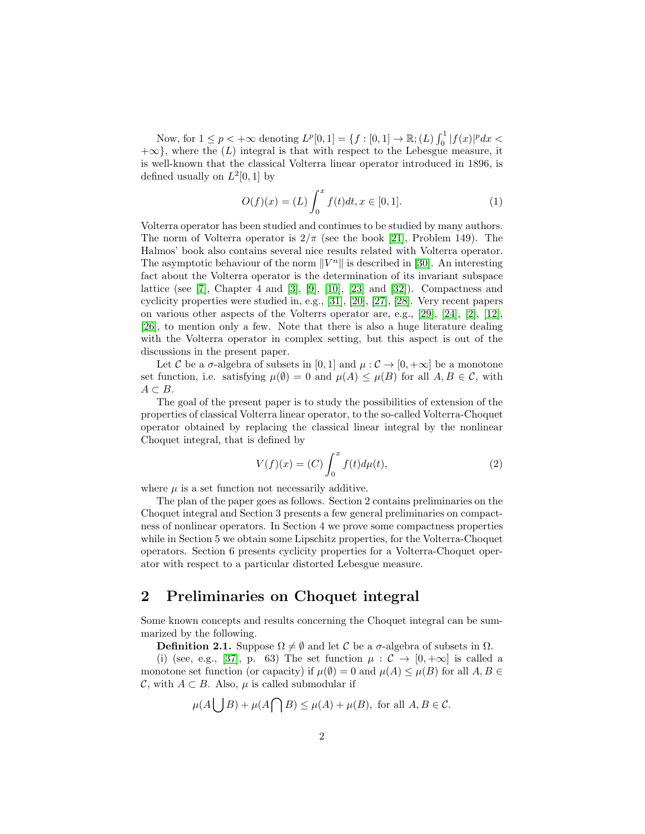Now, for  $1 \le p < +\infty$  denoting  $L^p[0,1] = \{f : [0,1] \to \mathbb{R}; (L) \int_0^1 |f(x)|^p dx <$  $+\infty$ , where the  $(L)$  integral is that with respect to the Lebesgue measure, it is well-known that the classical Volterra linear operator introduced in 1896, is defined usually on  $L^2[0,1]$  by

<span id="page-1-0"></span>
$$
O(f)(x) = (L) \int_0^x f(t)dt, x \in [0, 1].
$$
 (1)

Volterra operator has been studied and continues to be studied by many authors. The norm of Volterra operator is  $2/\pi$  (see the book [\[21\]](#page-15-3), Problem 149). The Halmos' book also contains several nice results related with Volterra operator. The asymptotic behaviour of the norm  $||V^n||$  is described in [\[30\]](#page-16-2). An interesting fact about the Volterra operator is the determination of its invariant subspace lattice (see [\[7\]](#page-14-5), Chapter 4 and [\[3\]](#page-14-6), [\[9\]](#page-14-7), [\[10\]](#page-14-8), [\[23\]](#page-15-4) and [\[32\]](#page-16-3)). Compactness and cyclicity properties were studied in, e.g., [\[31\]](#page-16-4), [\[20\]](#page-15-5), [\[27\]](#page-15-6), [\[28\]](#page-15-7). Very recent papers on various other aspects of the Volterrs operator are, e.g.,  $[29]$ ,  $[24]$ ,  $[2]$ ,  $[12]$ , [\[26\]](#page-15-9), to mention only a few. Note that there is also a huge literature dealing with the Volterra operator in complex setting, but this aspect is out of the discussions in the present paper.

Let C be a  $\sigma$ -algebra of subsets in [0, 1] and  $\mu:\mathcal{C}\to[0,+\infty]$  be a monotone set function, i.e. satisfying  $\mu(\emptyset) = 0$  and  $\mu(A) \leq \mu(B)$  for all  $A, B \in \mathcal{C}$ , with  $A \subset B$ .

The goal of the present paper is to study the possibilities of extension of the properties of classical Volterra linear operator, to the so-called Volterra-Choquet operator obtained by replacing the classical linear integral by the nonlinear Choquet integral, that is defined by

$$
V(f)(x) = (C) \int_0^x f(t) d\mu(t),
$$
 (2)

where  $\mu$  is a set function not necessarily additive.

The plan of the paper goes as follows. Section 2 contains preliminaries on the Choquet integral and Section 3 presents a few general preliminaries on compactness of nonlinear operators. In Section 4 we prove some compactness properties while in Section 5 we obtain some Lipschitz properties, for the Volterra-Choquet operators. Section 6 presents cyclicity properties for a Volterra-Choquet operator with respect to a particular distorted Lebesgue measure.

## 2 Preliminaries on Choquet integral

Some known concepts and results concerning the Choquet integral can be summarized by the following.

**Definition 2.1.** Suppose  $\Omega \neq \emptyset$  and let C be a  $\sigma$ -algebra of subsets in  $\Omega$ .

(i) (see, e.g., [\[37\]](#page-16-0), p. 63) The set function  $\mu : \mathcal{C} \to [0, +\infty]$  is called a monotone set function (or capacity) if  $\mu(\emptyset) = 0$  and  $\mu(A) \leq \mu(B)$  for all  $A, B \in$ C, with  $A \subset B$ . Also,  $\mu$  is called submodular if

$$
\mu(A \bigcup B) + \mu(A \bigcap B) \le \mu(A) + \mu(B), \text{ for all } A, B \in \mathcal{C}.
$$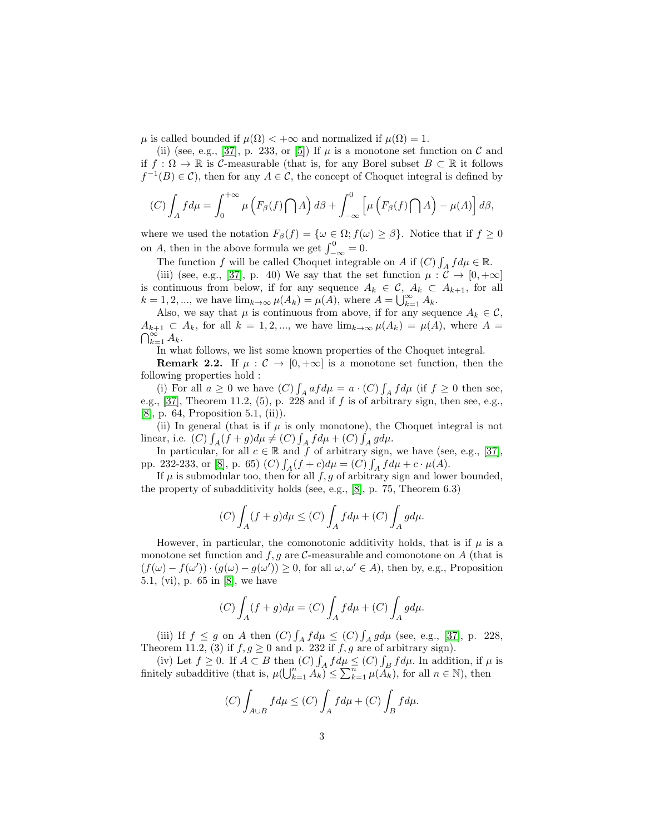$\mu$  is called bounded if  $\mu(\Omega) < +\infty$  and normalized if  $\mu(\Omega) = 1$ .

(ii) (see, e.g., [\[37\]](#page-16-0), p. 233, or [\[5\]](#page-14-0)) If  $\mu$  is a monotone set function on C and if  $f : \Omega \to \mathbb{R}$  is C-measurable (that is, for any Borel subset  $B \subset \mathbb{R}$  it follows  $f^{-1}(B) \in \mathcal{C}$ , then for any  $A \in \mathcal{C}$ , the concept of Choquet integral is defined by

$$
(C)\int_A f d\mu = \int_0^{+\infty} \mu\left(F_\beta(f)\bigcap A\right) d\beta + \int_{-\infty}^0 \left[\mu\left(F_\beta(f)\bigcap A\right) - \mu(A)\right] d\beta,
$$

where we used the notation  $F_{\beta}(f) = {\omega \in \Omega; f(\omega) \geq \beta}.$  Notice that if  $f \geq 0$ on A, then in the above formula we get  $\int_{-\infty}^{0} = 0$ .

The function f will be called Choquet integrable on A if  $(C) \int_A f d\mu \in \mathbb{R}$ .

(iii) (see, e.g., [\[37\]](#page-16-0), p. 40) We say that the set function  $\mu : \mathcal{C} \to [0, +\infty]$ is continuous from below, if for any sequence  $A_k \in \mathcal{C}$ ,  $A_k \subset A_{k+1}$ , for all  $k = 1, 2, \dots$ , we have  $\lim_{k \to \infty} \mu(A_k) = \mu(A)$ , where  $A = \bigcup_{k=1}^{\infty} A_k$ .

Also, we say that  $\mu$  is continuous from above, if for any sequence  $A_k \in \mathcal{C}$ ,  $A_{k+1} \subset A_k$ , for all  $k = 1, 2, ...,$  we have  $\lim_{k \to \infty} \mu(A_k) = \mu(A)$ , where  $A =$  $\bigcap_{k=1}^{\infty} A_k$ .

In what follows, we list some known properties of the Choquet integral.

**Remark 2.2.** If  $\mu : \mathcal{C} \to [0, +\infty]$  is a monotone set function, then the following properties hold :

(i) For all  $a \ge 0$  we have  $(C) \int_A af d\mu = a \cdot (C) \int_A f d\mu$  (if  $f \ge 0$  then see, e.g.,  $[37]$ , Theorem 11.2,  $(5)$ , p.  $228$  and if f is of arbitrary sign, then see, e.g., [\[8\]](#page-14-11), p. 64, Proposition 5.1, (ii)).

(ii) In general (that is if  $\mu$  is only monotone), the Choquet integral is not linear, i.e.  $(C) \int_A (f+g) d\mu \neq (C) \int_A f d\mu + (C) \int_A g d\mu.$ 

In particular, for all  $c \in \mathbb{R}$  and  $\tilde{f}$  of arbitrary sign, we have (see, e.g., [\[37\]](#page-16-0), pp. 232-233, or [\[8\]](#page-14-11), p. 65) (C)  $\int_A (f+c)d\mu = (C) \int_A f d\mu + c \cdot \mu(A)$ .

If  $\mu$  is submodular too, then for all  $f, g$  of arbitrary sign and lower bounded, the property of subadditivity holds (see, e.g., [\[8\]](#page-14-11), p. 75, Theorem 6.3)

$$
(C)\int_A (f+g)d\mu \le (C)\int_A fd\mu + (C)\int_A gd\mu.
$$

However, in particular, the comonotonic additivity holds, that is if  $\mu$  is a monotone set function and  $f, g$  are C-measurable and comonotone on A (that is  $(f(\omega) - f(\omega')) \cdot (g(\omega) - g(\omega')) \geq 0$ , for all  $\omega, \omega' \in A$ ), then by, e.g., Proposition 5.1, (vi), p. 65 in [\[8\]](#page-14-11), we have

$$
(C)\int_A (f+g)d\mu = (C)\int_A fd\mu + (C)\int_A gd\mu.
$$

(iii) If  $f \leq g$  on A then  $(C) \int_A f d\mu \leq (C) \int_A g d\mu$  (see, e.g., [\[37\]](#page-16-0), p. 228, Theorem 11.2, (3) if  $f, g \ge 0$  and p. 232 if  $f, g$  are of arbitrary sign).

(iv) Let  $f \geq 0$ . If  $A \subset B$  then  $(C) \int_A f d\mu \leq (C) \int_B f d\mu$ . In addition, if  $\mu$  is finitely subadditive (that is,  $\mu(\bigcup_{k=1}^n A_k) \leq \sum_{k=1}^n \mu(A_k)$ , for all  $n \in \mathbb{N}$ ), then

$$
(C)\int_{A\cup B}fd\mu\leq (C)\int_Afd\mu+(C)\int_Bfd\mu.
$$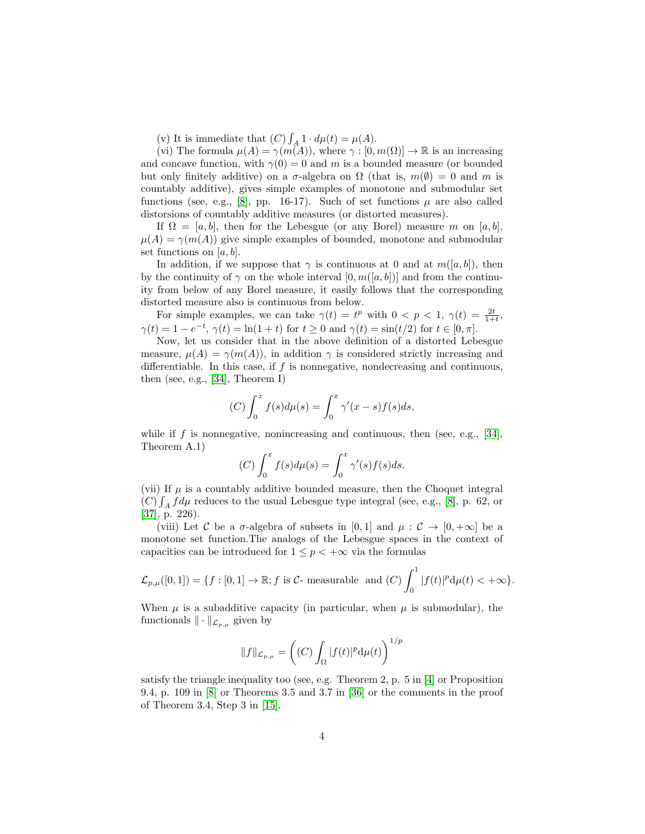(v) It is immediate that  $(C) \int_A 1 \cdot d\mu(t) = \mu(A)$ .

(vi) The formula  $\mu(A) = \gamma(m(A))$ , where  $\gamma : [0, m(\Omega)] \to \mathbb{R}$  is an increasing and concave function, with  $\gamma(0) = 0$  and m is a bounded measure (or bounded but only finitely additive) on a  $\sigma$ -algebra on  $\Omega$  (that is,  $m(\emptyset) = 0$  and m is countably additive), gives simple examples of monotone and submodular set functions (see, e.g., [\[8\]](#page-14-11), pp. 16-17). Such of set functions  $\mu$  are also called distorsions of countably additive measures (or distorted measures).

If  $\Omega = [a, b]$ , then for the Lebesgue (or any Borel) measure m on  $[a, b]$ ,  $\mu(A) = \gamma(m(A))$  give simple examples of bounded, monotone and submodular set functions on  $[a, b]$ .

In addition, if we suppose that  $\gamma$  is continuous at 0 and at  $m([a, b])$ , then by the continuity of  $\gamma$  on the whole interval  $[0, m([a, b])]$  and from the continuity from below of any Borel measure, it easily follows that the corresponding distorted measure also is continuous from below.

For simple examples, we can take  $\gamma(t) = t^p$  with  $0 < p < 1$ ,  $\gamma(t) = \frac{2t}{1+t}$ ,  $\gamma(t) = 1 - e^{-t}, \, \gamma(t) = \ln(1+t) \text{ for } t \ge 0 \text{ and } \gamma(t) = \sin(t/2) \text{ for } t \in [0, \pi].$ 

Now, let us consider that in the above definition of a distorted Lebesgue measure,  $\mu(A) = \gamma(m(A))$ , in addition  $\gamma$  is considered strictly increasing and differentiable. In this case, if  $f$  is nonnegative, nondecreasing and continuous, then (see, e.g., [\[34\]](#page-16-6), Theorem I)

$$
(C)\int_0^x f(s)d\mu(s) = \int_0^x \gamma'(x-s)f(s)ds,
$$

while if f is nonnegative, nonincreasing and continuous, then (see, e.g., [\[34\]](#page-16-6), Theorem A.1)

$$
(C)\int_0^x f(s)d\mu(s) = \int_0^x \gamma'(s)f(s)ds.
$$

(vii) If  $\mu$  is a countably additive bounded measure, then the Choquet integral  $(C) \int_A f d\mu$  reduces to the usual Lebesgue type integral (see, e.g., [\[8\]](#page-14-11), p. 62, or [\[37\]](#page-16-0), p. 226).

(viii) Let C be a  $\sigma$ -algebra of subsets in [0, 1] and  $\mu : \mathcal{C} \to [0, +\infty]$  be a monotone set function.The analogs of the Lebesgue spaces in the context of capacities can be introduced for  $1 \leq p < +\infty$  via the formulas

$$
\mathcal{L}_{p,\mu}([0,1]) = \{f : [0,1] \to \mathbb{R}; f \text{ is } C\text{- measurable and } (C) \int_0^1 |f(t)|^p \mathrm{d}\mu(t) < +\infty\}.
$$

When  $\mu$  is a subadditive capacity (in particular, when  $\mu$  is submodular), the functionals  $\|\cdot\|_{\mathcal{L}_{p,\mu}}$  given by

$$
||f||_{\mathcal{L}_{p,\mu}} = \left( (C) \int_{\Omega} |f(t)|^p \mathrm{d} \mu(t) \right)^{1/p}
$$

satisfy the triangle inequality too (see, e.g. Theorem 2, p. 5 in [\[4\]](#page-14-2) or Proposition 9.4, p. 109 in [\[8\]](#page-14-11) or Theorems 3.5 and 3.7 in [\[36\]](#page-16-7) or the comments in the proof of Theorem 3.4, Step 3 in [\[15\]](#page-15-10).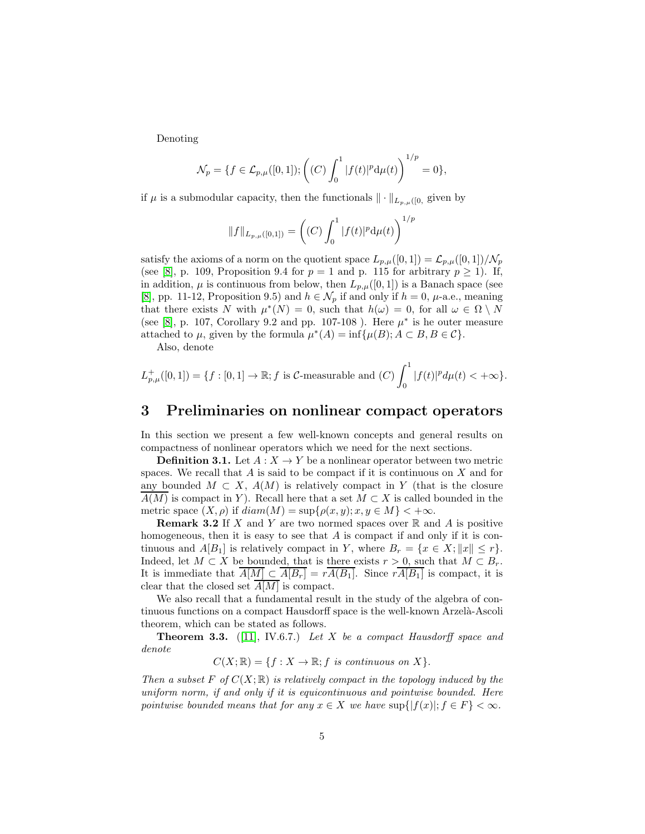Denoting

$$
\mathcal{N}_p = \{ f \in \mathcal{L}_{p,\mu}([0,1]); \left( (C) \int_0^1 |f(t)|^p \mathrm{d}\mu(t) \right)^{1/p} = 0 \},\
$$

if  $\mu$  is a submodular capacity, then the functionals  $\|\cdot\|_{L_{p,\mu}([0, 0, 0[1])}$ 

$$
||f||_{L_{p,\mu}([0,1])} = \left( (C) \int_0^1 |f(t)|^p \mathrm{d}\mu(t) \right)^{1/p}
$$

satisfy the axioms of a norm on the quotient space  $L_{p,\mu}([0,1]) = \mathcal{L}_{p,\mu}([0,1])/\mathcal{N}_p$ (see [\[8\]](#page-14-11), p. 109, Proposition 9.4 for  $p = 1$  and p. 115 for arbitrary  $p \ge 1$ ). If, in addition,  $\mu$  is continuous from below, then  $L_{p,\mu}([0,1])$  is a Banach space (see [\[8\]](#page-14-11), pp. 11-12, Proposition 9.5) and  $h \in \mathcal{N}_p$  if and only if  $h = 0$ ,  $\mu$ -a.e., meaning that there exists N with  $\mu^*(N) = 0$ , such that  $h(\omega) = 0$ , for all  $\omega \in \Omega \setminus N$ (see [\[8\]](#page-14-11), p. 107, Corollary 9.2 and pp. 107-108). Here  $\mu^*$  is he outer measure attached to  $\mu$ , given by the formula  $\mu^*(A) = \inf{\mu(B); A \subset B, B \in C}$ .

Also, denote

$$
L_{p,\mu}^+([0,1]) = \{ f : [0,1] \to \mathbb{R}; f \text{ is } C\text{-measurable and } (C) \int_0^1 |f(t)|^p d\mu(t) < +\infty \}.
$$

### 3 Preliminaries on nonlinear compact operators

In this section we present a few well-known concepts and general results on compactness of nonlinear operators which we need for the next sections.

**Definition 3.1.** Let  $A: X \to Y$  be a nonlinear operator between two metric spaces. We recall that  $A$  is said to be compact if it is continuous on  $X$  and for any bounded  $M \subset X$ ,  $A(M)$  is relatively compact in Y (that is the closure  $A(M)$  is compact in Y). Recall here that a set  $M \subset X$  is called bounded in the metric space  $(X, \rho)$  if  $diam(M) = sup{\rho(x, y); x, y \in M} < +\infty$ .

**Remark 3.2** If X and Y are two normed spaces over  $\mathbb{R}$  and A is positive homogeneous, then it is easy to see that A is compact if and only if it is continuous and  $A[B_1]$  is relatively compact in Y, where  $B_r = \{x \in X; ||x|| \leq r\}.$ Indeed, let  $M \subset X$  be bounded, that is there exists  $r > 0$ , such that  $M \subset B_r$ . It is immediate that  $\overline{A[M]} \subset \overline{A[B_r]} = r\overline{A(B_1]}$ . Since  $rA[B_1]$  is compact, it is clear that the closed set  $A[M]$  is compact.

We also recall that a fundamental result in the study of the algebra of continuous functions on a compact Hausdorff space is the well-known Arzelà-Ascoli theorem, which can be stated as follows.

**Theorem 3.3.** ([\[11\]](#page-14-12), IV.6.7.) Let X be a compact Hausdorff space and denote

 $C(X; \mathbb{R}) = \{f : X \to \mathbb{R}; f \text{ is continuous on } X\}.$ 

Then a subset F of  $C(X;\mathbb{R})$  is relatively compact in the topology induced by the uniform norm, if and only if it is equicontinuous and pointwise bounded. Here pointwise bounded means that for any  $x \in X$  we have  $\sup\{|f(x)|; f \in F\} < \infty$ .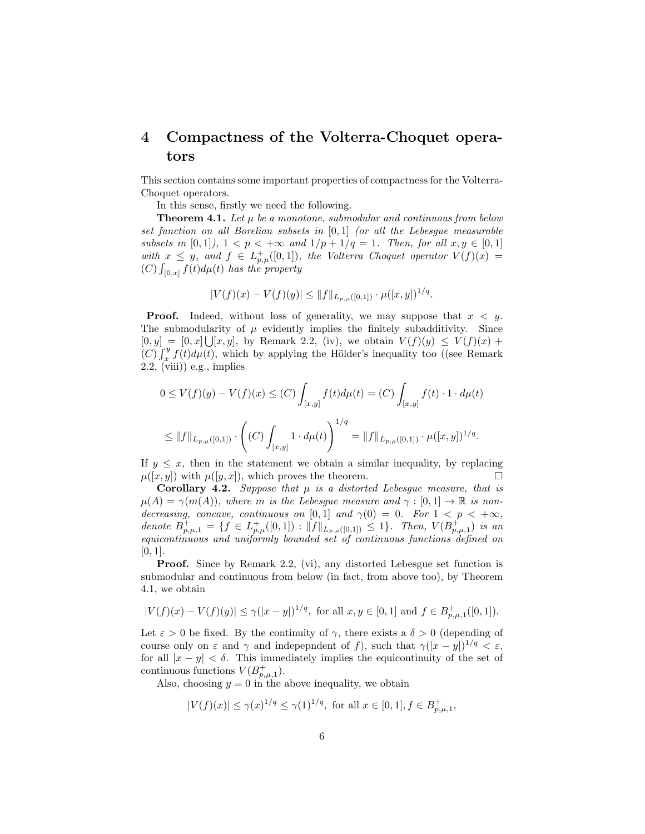## 4 Compactness of the Volterra-Choquet operators

This section contains some important properties of compactness for the Volterra-Choquet operators.

In this sense, firstly we need the following.

**Theorem 4.1.** Let  $\mu$  be a monotone, submodular and continuous from below set function on all Borelian subsets in [0, 1] (or all the Lebesgue measurable subsets in [0,1]),  $1 < p < +\infty$  and  $1/p + 1/q = 1$ . Then, for all  $x, y \in [0, 1]$ with  $x \leq y$ , and  $f \in L^+_{p,\mu}([0,1])$ , the Volterra Choquet operator  $V(f)(x) =$  $(C)$   $\int_{[0,x]} f(t) d\mu(t)$  has the property

$$
|V(f)(x) - V(f)(y)| \leq ||f||_{L_{p,\mu}([0,1])} \cdot \mu([x,y])^{1/q}.
$$

**Proof.** Indeed, without loss of generality, we may suppose that  $x < y$ . The submodularity of  $\mu$  evidently implies the finitely subadditivity. Since  $[0, y] = [0, x] \cup [x, y]$ , by Remark 2.2, (iv), we obtain  $V(f)(y) \leq V(f)(x) +$  $(C)\int_x^y f(t)d\mu(t)$ , which by applying the Hölder's inequality too ((see Remark  $2.2, \text{(viii)}$ ) e.g., implies

$$
0 \le V(f)(y) - V(f)(x) \le (C) \int_{[x,y]} f(t) d\mu(t) = (C) \int_{[x,y]} f(t) \cdot 1 \cdot d\mu(t)
$$
  

$$
\le ||f||_{L_{p,\mu}([0,1])} \cdot \left( (C) \int_{[x,y]} 1 \cdot d\mu(t) \right)^{1/q} = ||f||_{L_{p,\mu}([0,1])} \cdot \mu([x,y])^{1/q}.
$$

If  $y \leq x$ , then in the statement we obtain a similar inequality, by replacing  $u([x, y])$  with  $u([y, x])$ , which proves the theorem.  $\mu([x, y])$  with  $\mu([y, x])$ , which proves the theorem.

**Corollary 4.2.** Suppose that  $\mu$  is a distorted Lebesgue measure, that is  $\mu(A) = \gamma(m(A)),$  where m is the Lebesgue measure and  $\gamma : [0,1] \to \mathbb{R}$  is nondecreasing, concave, continuous on [0,1] and  $\gamma(0) = 0$ . For  $1 < p < +\infty$ , denote  $B^+_{p,\mu,1} = \{f \in L^+_{p,\mu}([0,1]) : ||f||_{L_{p,\mu}([0,1])} \leq 1\}$ . Then,  $V(B^+_{p,\mu,1})$  is an equicontinuous and uniformly bounded set of continuous functions defined on  $[0, 1]$ .

**Proof.** Since by Remark 2.2, (vi), any distorted Lebesgue set function is submodular and continuous from below (in fact, from above too), by Theorem 4.1, we obtain

$$
|V(f)(x) - V(f)(y)| \le \gamma (|x - y|)^{1/q}, \text{ for all } x, y \in [0, 1] \text{ and } f \in B^+_{p, \mu, 1}([0, 1]).
$$

Let  $\varepsilon > 0$  be fixed. By the continuity of  $\gamma$ , there exists a  $\delta > 0$  (depending of course only on  $\varepsilon$  and  $\gamma$  and indepepndent of f), such that  $\gamma(|x-y|)^{1/q} < \varepsilon$ , for all  $|x - y| < \delta$ . This immediately implies the equicontinuity of the set of continuous functions  $V(B_{p,\mu,1}^+).$ 

Also, choosing  $y = 0$  in the above inequality, we obtain

$$
|V(f)(x)| \le \gamma(x)^{1/q} \le \gamma(1)^{1/q}
$$
, for all  $x \in [0, 1], f \in B^+_{p,\mu,1}$ ,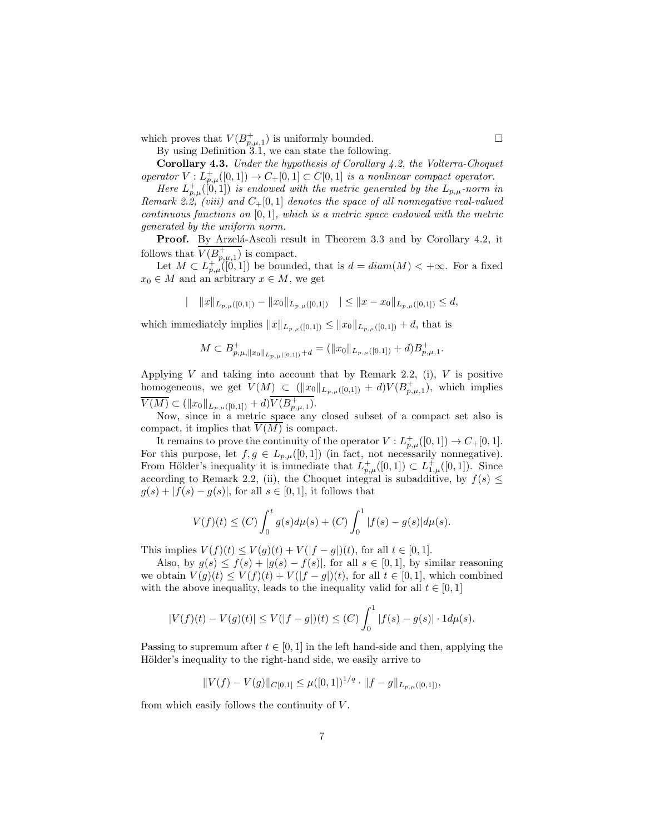which proves that  $V(B_{p,\mu,1}^+)$  is uniformly bounded.

By using Definition 3.1, we can state the following.

Corollary 4.3. Under the hypothesis of Corollary 4.2, the Volterra-Choquet operator  $V: L^+_{p,\mu}([0,1]) \to C_+[0,1] \subset C[0,1]$  is a nonlinear compact operator.

Here  $L_{p,\mu}^{+}([0,1])$  is endowed with the metric generated by the  $L_{p,\mu}$ -norm in Remark 2.2, (viii) and  $C_{+}[0,1]$  denotes the space of all nonnegative real-valued continuous functions on  $[0, 1]$ , which is a metric space endowed with the metric generated by the uniform norm.

**Proof.** By Arzelá-Ascoli result in Theorem 3.3 and by Corollary 4.2, it follows that  $V(B_{p,\mu,1}^+)$  is compact.

Let  $M \subset L_{p,\mu}^{+}([0,1])$  be bounded, that is  $d = diam(M) < +\infty$ . For a fixed  $x_0 \in M$  and an arbitrary  $x \in M$ , we get

$$
||\t||x||_{L_{p,\mu}([0,1])}-||x_0||_{L_{p,\mu}([0,1])}|| \leq ||x-x_0||_{L_{p,\mu}([0,1])} \leq d,
$$

which immediately implies  $||x||_{L_{p,\mu}([0,1])} \leq ||x_0||_{L_{p,\mu}([0,1])} + d$ , that is

$$
M \subset B^+_{p,\mu, \|x_0\|_{L_{p,\mu}([0,1])} + d} = (\|x_0\|_{L_{p,\mu}([0,1])} + d)B^+_{p,\mu,1}.
$$

Applying V and taking into account that by Remark 2.2, (i),  $V$  is positive homogeneous, we get  $V(M) \subset (||x_0||_{L_{p,\mu}([0,1])} + d)V(B_{p,\mu,1}^+),$  which implies  $\overline{V(M)} \subset (\|x_0\|_{L_{p,\mu}([0,1])} + d)\overline{V(B^+_{p,\mu,1})}.$ 

Now, since in a metric space any closed subset of a compact set also is compact, it implies that  $\overline{V(M)}$  is compact.

It remains to prove the continuity of the operator  $V: L^+_{p,\mu}([0,1]) \to C_+[0,1].$ For this purpose, let  $f, g \in L_{p,\mu}([0,1])$  (in fact, not necessarily nonnegative). From Hölder's inequality it is immediate that  $L_{p,\mu}^+([0,1]) \subset L_{1,\mu}^+([0,1])$ . Since according to Remark 2.2, (ii), the Choquet integral is subadditive, by  $f(s) \leq$  $g(s) + |f(s) - g(s)|$ , for all  $s \in [0, 1]$ , it follows that

$$
V(f)(t) \le (C) \int_0^t g(s) d\mu(s) + (C) \int_0^1 |f(s) - g(s)| d\mu(s).
$$

This implies  $V(f)(t) \le V(g)(t) + V(|f - g|)(t)$ , for all  $t \in [0, 1]$ .

Also, by  $g(s) \leq f(s) + |g(s) - f(s)|$ , for all  $s \in [0, 1]$ , by similar reasoning we obtain  $V(g)(t) \leq V(f)(t) + V(|f-g|)(t)$ , for all  $t \in [0,1]$ , which combined with the above inequality, leads to the inequality valid for all  $t \in [0, 1]$ 

$$
|V(f)(t) - V(g)(t)| \le V(|f - g|)(t) \le (C) \int_0^1 |f(s) - g(s)| \cdot 1 d\mu(s).
$$

Passing to supremum after  $t \in [0, 1]$  in the left hand-side and then, applying the Hölder's inequality to the right-hand side, we easily arrive to

$$
||V(f) – V(g)||_{C[0,1]} \leq \mu([0,1])^{1/q} \cdot ||f - g||_{L_{p,\mu}([0,1])},
$$

from which easily follows the continuity of  $V$ .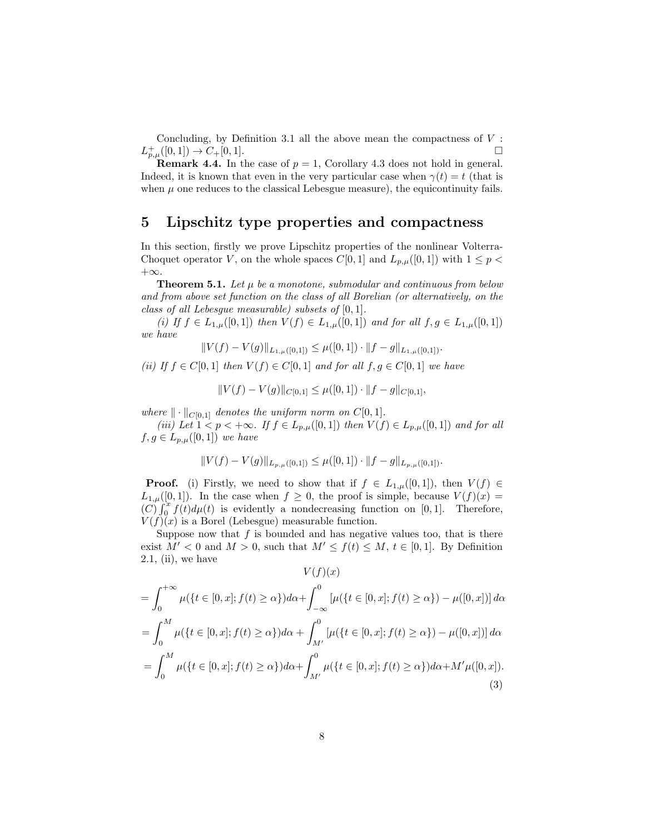Concluding, by Definition 3.1 all the above mean the compactness of  $V$ :  $L^+_{p,\mu}([0,1]) \to C_+[0,1].$ 

**Remark 4.4.** In the case of  $p = 1$ , Corollary 4.3 does not hold in general. Indeed, it is known that even in the very particular case when  $\gamma(t) = t$  (that is when  $\mu$  one reduces to the classical Lebesgue measure), the equicontinuity fails.

### 5 Lipschitz type properties and compactness

In this section, firstly we prove Lipschitz properties of the nonlinear Volterra-Choquet operator V, on the whole spaces  $C[0,1]$  and  $L_{p,\mu}([0,1])$  with  $1 \leq p <$  $+\infty$ .

**Theorem 5.1.** Let  $\mu$  be a monotone, submodular and continuous from below and from above set function on the class of all Borelian (or alternatively, on the class of all Lebesgue measurable) subsets of  $[0, 1]$ .

(i) If  $f \in L_{1,\mu}([0,1])$  then  $V(f) \in L_{1,\mu}([0,1])$  and for all  $f, g \in L_{1,\mu}([0,1])$ we have

$$
||V(f) - V(g)||_{L_{1,\mu}([0,1])} \leq \mu([0,1]) \cdot ||f - g||_{L_{1,\mu}([0,1])}.
$$

(ii) If  $f \in C[0,1]$  then  $V(f) \in C[0,1]$  and for all  $f, g \in C[0,1]$  we have

$$
||V(f) - V(g)||_{C[0,1]} \le \mu([0,1]) \cdot ||f - g||_{C[0,1]},
$$

where  $\|\cdot\|_{C[0,1]}$  denotes the uniform norm on  $C[0, 1]$ .

(iii) Let  $1 < p < +\infty$ . If  $f \in L_{p,\mu}([0,1])$  then  $V(f) \in L_{p,\mu}([0,1])$  and for all  $f, g \in L_{p,\mu}([0,1])$  we have

$$
||V(f) - V(g)||_{L_{p,\mu}([0,1])} \leq \mu([0,1]) \cdot ||f - g||_{L_{p,\mu}([0,1])}.
$$

**Proof.** (i) Firstly, we need to show that if  $f \in L_{1,\mu}([0,1])$ , then  $V(f) \in$  $L_{1,\mu}([0,1])$ . In the case when  $f \geq 0$ , the proof is simple, because  $V(f)(x) =$  $(C)\int_0^x f(t)d\mu(t)$  is evidently a nondecreasing function on [0,1]. Therefore,  $V(f)(x)$  is a Borel (Lebesgue) measurable function.

Suppose now that  $f$  is bounded and has negative values too, that is there exist  $M' < 0$  and  $M > 0$ , such that  $M' \leq f(t) \leq M$ ,  $t \in [0,1]$ . By Definition  $2.1$ , (ii), we have

<span id="page-7-0"></span>
$$
V(f)(x)
$$
  
=  $\int_0^{+\infty} \mu({t \in [0, x]; f(t) \ge \alpha}) d\alpha + \int_{-\infty}^0 [\mu({t \in [0, x]; f(t) \ge \alpha}) - \mu([0, x])] d\alpha$   
=  $\int_0^M \mu({t \in [0, x]; f(t) \ge \alpha}) d\alpha + \int_{M'}^0 [\mu({t \in [0, x]; f(t) \ge \alpha}) - \mu([0, x])] d\alpha$   
=  $\int_0^M \mu({t \in [0, x]; f(t) \ge \alpha}) d\alpha + \int_{M'}^0 \mu({t \in [0, x]; f(t) \ge \alpha}) d\alpha + M'\mu([0, x]).$   
(3)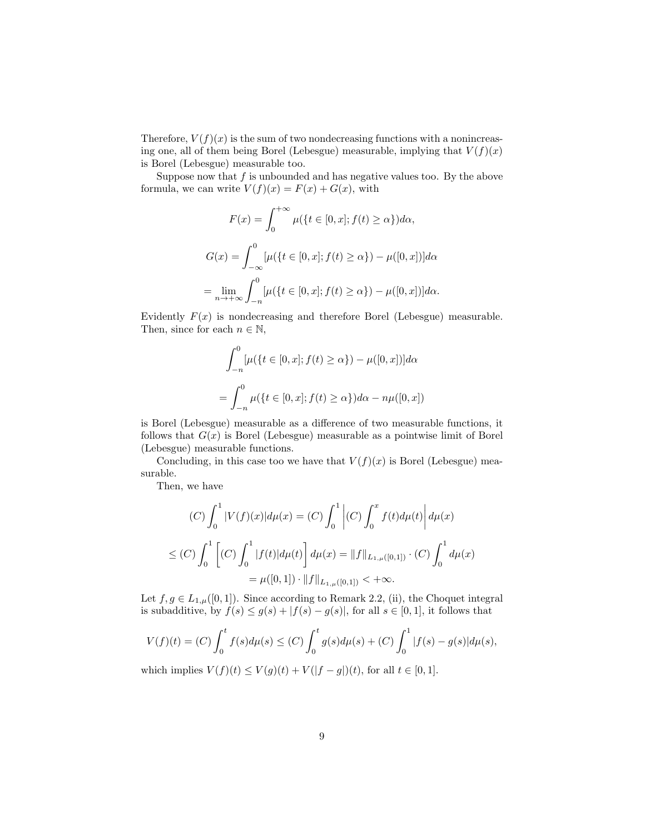Therefore,  $V(f)(x)$  is the sum of two nondecreasing functions with a nonincreasing one, all of them being Borel (Lebesgue) measurable, implying that  $V(f)(x)$ is Borel (Lebesgue) measurable too.

Suppose now that  $f$  is unbounded and has negative values too. By the above formula, we can write  $V(f)(x) = F(x) + G(x)$ , with

$$
F(x) = \int_0^{+\infty} \mu({t \in [0, x]; f(t) \ge \alpha}) d\alpha,
$$
  

$$
G(x) = \int_{-\infty}^0 [\mu({t \in [0, x]; f(t) \ge \alpha}) - \mu([0, x])] d\alpha
$$
  

$$
= \lim_{n \to +\infty} \int_{-n}^0 [\mu({t \in [0, x]; f(t) \ge \alpha}) - \mu([0, x])] d\alpha.
$$

Evidently  $F(x)$  is nondecreasing and therefore Borel (Lebesgue) measurable. Then, since for each  $n \in \mathbb{N}$ ,

$$
\int_{-n}^{0} [\mu({t \in [0, x]; f(t) \ge \alpha}) - \mu([0, x])] d\alpha
$$
  
= 
$$
\int_{-n}^{0} \mu({t \in [0, x]; f(t) \ge \alpha}) d\alpha - n\mu([0, x])
$$

is Borel (Lebesgue) measurable as a difference of two measurable functions, it follows that  $G(x)$  is Borel (Lebesgue) measurable as a pointwise limit of Borel (Lebesgue) measurable functions.

Concluding, in this case too we have that  $V(f)(x)$  is Borel (Lebesgue) measurable.

Then, we have

$$
(C)\int_0^1 |V(f)(x)|d\mu(x) = (C)\int_0^1 |(C)\int_0^x f(t)d\mu(t)|d\mu(x)
$$
  

$$
\leq (C)\int_0^1 [(C)\int_0^1 |f(t)|d\mu(t)]d\mu(x) = ||f||_{L_{1,\mu}([0,1])} \cdot (C)\int_0^1 d\mu(x)
$$
  

$$
= \mu([0,1]) \cdot ||f||_{L_{1,\mu}([0,1])} < +\infty.
$$

Let  $f, g \in L_{1,\mu}([0,1])$ . Since according to Remark 2.2, (ii), the Choquet integral is subadditive, by  $f(s) \le g(s) + |f(s) - g(s)|$ , for all  $s \in [0, 1]$ , it follows that

$$
V(f)(t) = (C) \int_0^t f(s) d\mu(s) \le (C) \int_0^t g(s) d\mu(s) + (C) \int_0^1 |f(s) - g(s)| d\mu(s),
$$

which implies  $V(f)(t) \le V(g)(t) + V(|f - g|)(t)$ , for all  $t \in [0, 1]$ .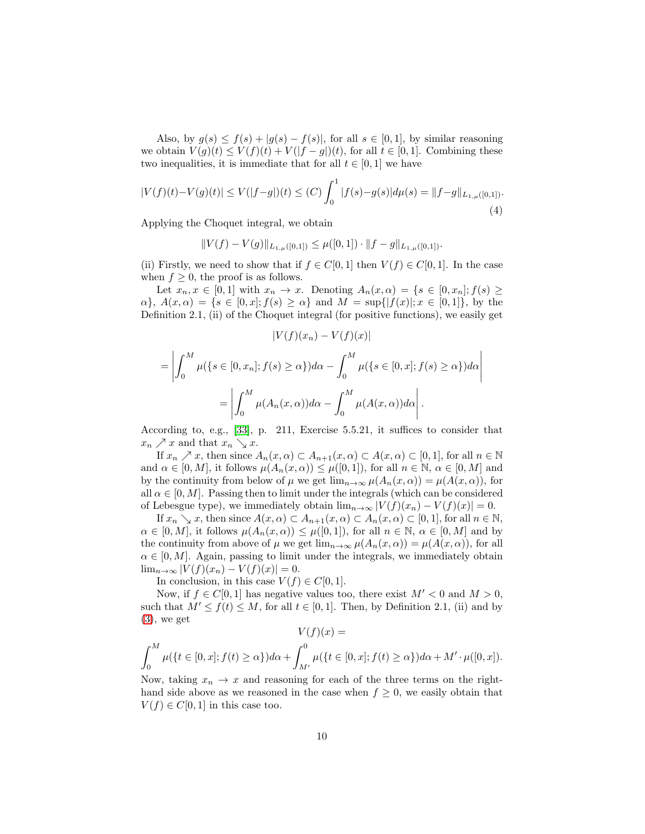Also, by  $g(s) \leq f(s) + |g(s) - f(s)|$ , for all  $s \in [0, 1]$ , by similar reasoning we obtain  $V(g)(t) \leq V(f)(t) + V(|f - g|)(t)$ , for all  $t \in [0, 1]$ . Combining these two inequalities, it is immediate that for all  $t \in [0, 1]$  we have

<span id="page-9-0"></span>
$$
|V(f)(t) - V(g)(t)| \le V(|f - g|)(t) \le (C) \int_0^1 |f(s) - g(s)| d\mu(s) = ||f - g||_{L_{1,\mu}([0,1])}.
$$
\n(4)

Applying the Choquet integral, we obtain

$$
||V(f) - V(g)||_{L_{1,\mu}([0,1])} \leq \mu([0,1]) \cdot ||f - g||_{L_{1,\mu}([0,1])}.
$$

(ii) Firstly, we need to show that if  $f \in C[0, 1]$  then  $V(f) \in C[0, 1]$ . In the case when  $f \geq 0$ , the proof is as follows.

Let  $x_n, x \in [0,1]$  with  $x_n \to x$ . Denoting  $A_n(x, \alpha) = \{s \in [0, x_n]; f(s) \geq \alpha_s\}$  $\{\alpha\}, A(x, \alpha) = \{s \in [0, x]; f(s) \geq \alpha\}$  and  $M = \sup\{|f(x)|; x \in [0, 1]\}$ , by the Definition 2.1, (ii) of the Choquet integral (for positive functions), we easily get

$$
|V(f)(x_n) - V(f)(x)|
$$
  
= 
$$
\left| \int_0^M \mu({s \in [0, x_n]; f(s) \ge \alpha}) d\alpha - \int_0^M \mu({s \in [0, x]; f(s) \ge \alpha}) d\alpha \right|
$$
  
= 
$$
\left| \int_0^M \mu(A_n(x, \alpha)) d\alpha - \int_0^M \mu(A(x, \alpha)) d\alpha \right|.
$$

According to, e.g., [\[33\]](#page-16-8), p. 211, Exercise 5.5.21, it suffices to consider that  $x_n \nearrow x$  and that  $x_n \searrow x$ .

If  $x_n \nearrow x$ , then since  $A_n(x, \alpha) \subset A_{n+1}(x, \alpha) \subset A(x, \alpha) \subset [0, 1]$ , for all  $n \in \mathbb{N}$ and  $\alpha \in [0, M]$ , it follows  $\mu(A_n(x, \alpha)) \leq \mu([0, 1])$ , for all  $n \in \mathbb{N}$ ,  $\alpha \in [0, M]$  and by the continuity from below of  $\mu$  we get  $\lim_{n\to\infty} \mu(A_n(x,\alpha)) = \mu(A(x,\alpha))$ , for all  $\alpha \in [0, M]$ . Passing then to limit under the integrals (which can be considered of Lebesgue type), we immediately obtain  $\lim_{n\to\infty} |V(f)(x_n) - V(f)(x)| = 0$ .

If  $x_n \searrow x$ , then since  $A(x, \alpha) \subset A_{n+1}(x, \alpha) \subset A_n(x, \alpha) \subset [0, 1]$ , for all  $n \in \mathbb{N}$ ,  $\alpha \in [0, M]$ , it follows  $\mu(A_n(x, \alpha)) \leq \mu([0, 1])$ , for all  $n \in \mathbb{N}$ ,  $\alpha \in [0, M]$  and by the continuity from above of  $\mu$  we get  $\lim_{n\to\infty} \mu(A_n(x,\alpha)) = \mu(A(x,\alpha))$ , for all  $\alpha \in [0, M]$ . Again, passing to limit under the integrals, we immediately obtain  $\lim_{n\to\infty} |V(f)(x_n)-V(f)(x)|=0.$ 

In conclusion, in this case  $V(f) \in C[0,1]$ .

Now, if  $f \in C[0,1]$  has negative values too, there exist  $M' < 0$  and  $M > 0$ , such that  $M' \leq f(t) \leq M$ , for all  $t \in [0,1]$ . Then, by Definition 2.1, (ii) and by  $(3)$ , we get  $\mathbf{r} \times (\mathbf{r})$ 

$$
V(f)(x) =
$$
  

$$
\int_0^M \mu({t \in [0, x]; f(t) \ge \alpha}) d\alpha + \int_{M'}^0 \mu({t \in [0, x]; f(t) \ge \alpha}) d\alpha + M' \cdot \mu([0, x]).
$$

Now, taking  $x_n \to x$  and reasoning for each of the three terms on the righthand side above as we reasoned in the case when  $f \geq 0$ , we easily obtain that  $V(f) \in C[0,1]$  in this case too.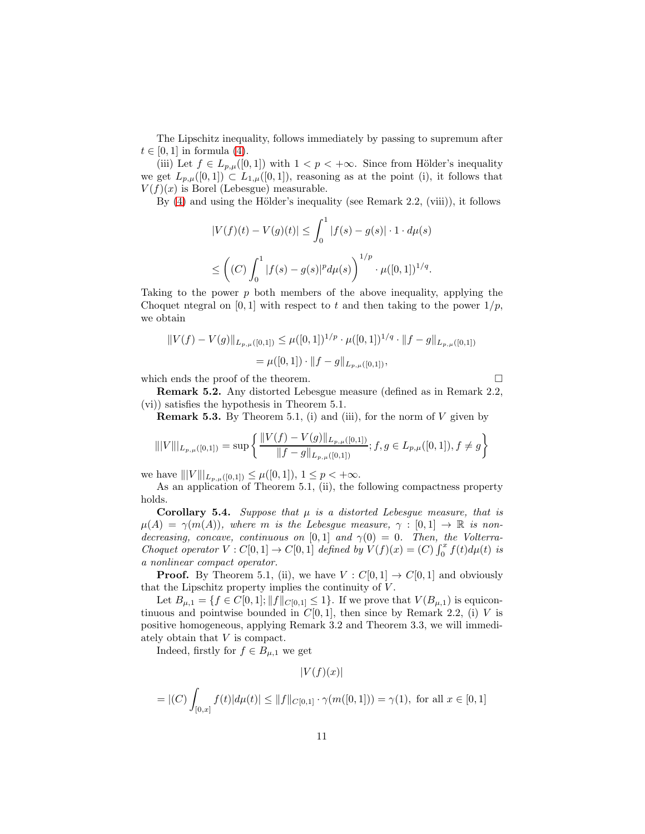The Lipschitz inequality, follows immediately by passing to supremum after  $t \in [0, 1]$  in formula [\(4\)](#page-9-0).

(iii) Let  $f \in L_{p,\mu}([0,1])$  with  $1 < p < +\infty$ . Since from Hölder's inequality we get  $L_{p,\mu}([0,1]) \subset L_{1,\mu}([0,1])$ , reasoning as at the point (i), it follows that  $V(f)(x)$  is Borel (Lebesgue) measurable.

By  $(4)$  and using the Hölder's inequality (see Remark 2.2, (viii)), it follows

$$
|V(f)(t) - V(g)(t)| \le \int_0^1 |f(s) - g(s)| \cdot 1 \cdot d\mu(s)
$$
  

$$
\le \left( (C) \int_0^1 |f(s) - g(s)|^p d\mu(s) \right)^{1/p} \cdot \mu([0,1])^{1/q}.
$$

Taking to the power  $p$  both members of the above inequality, applying the Choquet ntegral on [0, 1] with respect to t and then taking to the power  $1/p$ , we obtain

$$
||V(f) - V(g)||_{L_{p,\mu}([0,1])} \leq \mu([0,1])^{1/p} \cdot \mu([0,1])^{1/q} \cdot ||f - g||_{L_{p,\mu}([0,1])}
$$
  
=  $\mu([0,1]) \cdot ||f - g||_{L_{p,\mu}([0,1])},$ 

which ends the proof of the theorem.  $\hfill \square$ 

Remark 5.2. Any distorted Lebesgue measure (defined as in Remark 2.2, (vi)) satisfies the hypothesis in Theorem 5.1.

**Remark 5.3.** By Theorem 5.1, (i) and (iii), for the norm of  $V$  given by

$$
\| |V||_{L_{p,\mu}([0,1])} = \sup \left\{ \frac{\|V(f) - V(g)\|_{L_{p,\mu}([0,1])}}{\|f - g\|_{L_{p,\mu}([0,1])}}; f, g \in L_{p,\mu}([0,1]), f \neq g \right\}
$$

we have  $|||V|||_{L_{p,\mu}([0,1])} \leq \mu([0,1]), 1 \leq p < +\infty.$ 

As an application of Theorem 5.1, (ii), the following compactness property holds.

**Corollary 5.4.** Suppose that  $\mu$  is a distorted Lebesgue measure, that is  $\mu(A) = \gamma(m(A)),$  where m is the Lebesgue measure,  $\gamma : [0,1] \to \mathbb{R}$  is nondecreasing, concave, continuous on [0,1] and  $\gamma(0) = 0$ . Then, the Volterra-Choquet operator  $V: C[0,1] \to C[0,1]$  defined by  $V(f)(x) = (C) \int_0^x f(t) d\mu(t)$  is a nonlinear compact operator.

**Proof.** By Theorem 5.1, (ii), we have  $V : C[0, 1] \rightarrow C[0, 1]$  and obviously that the Lipschitz property implies the continuity of  $V$ .

Let  $B_{\mu,1} = \{f \in C[0,1]; ||f||_{C[0,1]} \leq 1\}$ . If we prove that  $V(B_{\mu,1})$  is equicontinuous and pointwise bounded in  $C[0, 1]$ , then since by Remark 2.2, (i) V is positive homogeneous, applying Remark 3.2 and Theorem 3.3, we will immediately obtain that V is compact.

Indeed, firstly for  $f \in B_{\mu,1}$  we get

$$
|V(f)(x)|
$$

$$
= |(C) \int_{[0,x]} f(t) |d\mu(t)| \le ||f||_{C[0,1]} \cdot \gamma(m([0,1])) = \gamma(1), \text{ for all } x \in [0,1]
$$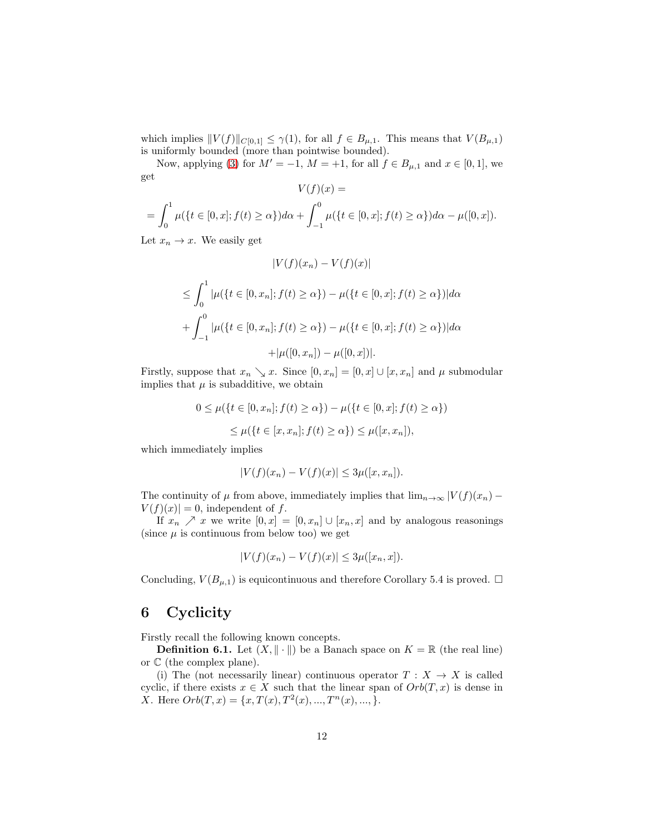which implies  $||V(f)||_{C[0,1]} \leq \gamma(1)$ , for all  $f \in B_{\mu,1}$ . This means that  $V(B_{\mu,1})$ is uniformly bounded (more than pointwise bounded).

Now, applying [\(3\)](#page-7-0) for  $M' = -1$ ,  $M = +1$ , for all  $f \in B_{\mu,1}$  and  $x \in [0,1]$ , we get

$$
V(f)(x) =
$$
  
=  $\int_0^1 \mu({t \in [0, x]; f(t) \ge \alpha})d\alpha + \int_{-1}^0 \mu({t \in [0, x]; f(t) \ge \alpha})d\alpha - \mu([0, x]).$ 

Let  $x_n \to x$ . We easily get

$$
|V(f)(x_n) - V(f)(x)|
$$
  
\n
$$
\leq \int_0^1 |\mu({t \in [0, x_n]; f(t) \geq \alpha}) - \mu({t \in [0, x]; f(t) \geq \alpha})| d\alpha
$$
  
\n
$$
+ \int_{-1}^0 |\mu({t \in [0, x_n]; f(t) \geq \alpha}) - \mu({t \in [0, x]; f(t) \geq \alpha})| d\alpha
$$
  
\n
$$
+ |\mu([0, x_n]) - \mu([0, x])|.
$$

Firstly, suppose that  $x_n \searrow x$ . Since  $[0, x_n] = [0, x] \cup [x, x_n]$  and  $\mu$  submodular implies that  $\mu$  is subadditive, we obtain

$$
0 \le \mu({t \in [0, x_n]; f(t) \ge \alpha}) - \mu({t \in [0, x]; f(t) \ge \alpha})
$$
  

$$
\le \mu({t \in [x, x_n]; f(t) \ge \alpha}) \le \mu([x, x_n]),
$$

which immediately implies

$$
|V(f)(x_n) - V(f)(x)| \le 3\mu([x, x_n]).
$$

The continuity of  $\mu$  from above, immediately implies that  $\lim_{n\to\infty} |V(f)(x_n) V(f)(x) = 0$ , independent of f.

If  $x_n \nearrow x$  we write  $[0, x] = [0, x_n] \cup [x_n, x]$  and by analogous reasonings (since  $\mu$  is continuous from below too) we get

$$
|V(f)(x_n) - V(f)(x)| \le 3\mu([x_n, x]).
$$

Concluding,  $V(B_{\mu,1})$  is equicontinuous and therefore Corollary 5.4 is proved.  $\Box$ 

## 6 Cyclicity

Firstly recall the following known concepts.

**Definition 6.1.** Let  $(X, \|\cdot\|)$  be a Banach space on  $K = \mathbb{R}$  (the real line) or  $\mathbb C$  (the complex plane).

(i) The (not necessarily linear) continuous operator  $T : X \to X$  is called cyclic, if there exists  $x \in X$  such that the linear span of  $Orb(T, x)$  is dense in X. Here  $Orb(T, x) = \{x, T(x), T^2(x), ..., T^n(x), ..., \}.$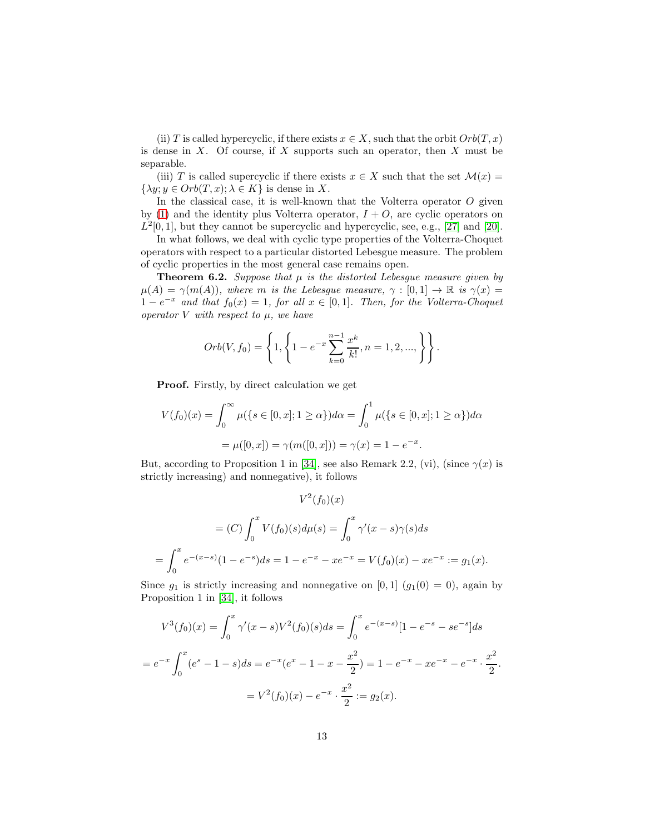(ii) T is called hypercyclic, if there exists  $x \in X$ , such that the orbit  $Orb(T, x)$ is dense in  $X$ . Of course, if  $X$  supports such an operator, then  $X$  must be separable.

(iii) T is called supercyclic if there exists  $x \in X$  such that the set  $\mathcal{M}(x) =$  $\{\lambda y; y \in Orb(T, x); \lambda \in K\}$  is dense in X.

In the classical case, it is well-known that the Volterra operator  $O$  given by [\(1\)](#page-1-0) and the identity plus Volterra operator,  $I + O$ , are cyclic operators on  $L^2[0,1]$ , but they cannot be supercyclic and hypercyclic, see, e.g., [\[27\]](#page-15-6) and [\[20\]](#page-15-5).

In what follows, we deal with cyclic type properties of the Volterra-Choquet operators with respect to a particular distorted Lebesgue measure. The problem of cyclic properties in the most general case remains open.

**Theorem 6.2.** Suppose that  $\mu$  is the distorted Lebesgue measure given by  $\mu(A) = \gamma(m(A)),$  where m is the Lebesgue measure,  $\gamma : [0,1] \to \mathbb{R}$  is  $\gamma(x) =$  $1 - e^{-x}$  and that  $f_0(x) = 1$ , for all  $x \in [0, 1]$ . Then, for the Volterra-Choquet operator V with respect to  $\mu$ , we have

$$
Orb(V, f_0) = \left\{ 1, \left\{ 1 - e^{-x} \sum_{k=0}^{n-1} \frac{x^k}{k!}, n = 1, 2, ..., \right\} \right\}.
$$

Proof. Firstly, by direct calculation we get

$$
V(f_0)(x) = \int_0^\infty \mu(\{s \in [0, x]; 1 \ge \alpha\}) d\alpha = \int_0^1 \mu(\{s \in [0, x]; 1 \ge \alpha\}) d\alpha
$$

$$
= \mu([0, x]) = \gamma(m([0, x])) = \gamma(x) = 1 - e^{-x}.
$$

But, according to Proposition 1 in [\[34\]](#page-16-6), see also Remark 2.2, (vi), (since  $\gamma(x)$  is strictly increasing) and nonnegative), it follows

$$
V^2(f_0)(x)
$$
  
=  $(C) \int_0^x V(f_0)(s) d\mu(s) = \int_0^x \gamma'(x - s)\gamma(s) ds$   
=  $\int_0^x e^{-(x-s)}(1 - e^{-s}) ds = 1 - e^{-x} - xe^{-x} = V(f_0)(x) - xe^{-x} := g_1(x).$ 

Since  $g_1$  is strictly increasing and nonnegative on [0, 1]  $(g_1(0) = 0)$ , again by Proposition 1 in [\[34\]](#page-16-6), it follows

$$
V^3(f_0)(x) = \int_0^x \gamma'(x - s)V^2(f_0)(s)ds = \int_0^x e^{-(x - s)}[1 - e^{-s} - s e^{-s}]ds
$$
  
=  $e^{-x} \int_0^x (e^s - 1 - s)ds = e^{-x}(e^x - 1 - x - \frac{x^2}{2}) = 1 - e^{-x} - xe^{-x} - e^{-x} \cdot \frac{x^2}{2}$   
=  $V^2(f_0)(x) - e^{-x} \cdot \frac{x^2}{2} := g_2(x).$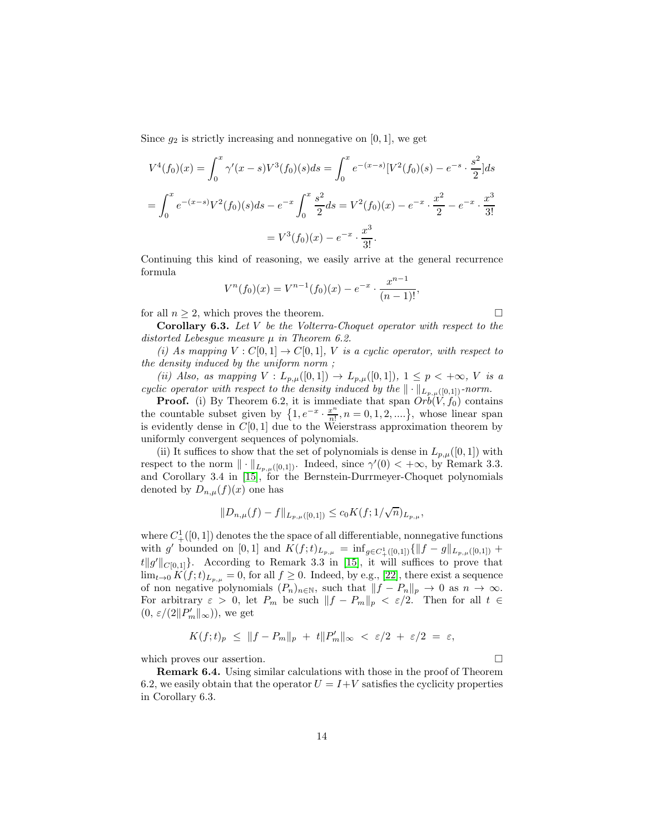Since  $g_2$  is strictly increasing and nonnegative on [0, 1], we get

$$
V^4(f_0)(x) = \int_0^x \gamma'(x - s)V^3(f_0)(s)ds = \int_0^x e^{-(x - s)}[V^2(f_0)(s) - e^{-s} \cdot \frac{s^2}{2}]ds
$$
  
= 
$$
\int_0^x e^{-(x - s)}V^2(f_0)(s)ds - e^{-x}\int_0^x \frac{s^2}{2}ds = V^2(f_0)(x) - e^{-x} \cdot \frac{x^2}{2} - e^{-x} \cdot \frac{x^3}{3!}
$$
  
= 
$$
V^3(f_0)(x) - e^{-x} \cdot \frac{x^3}{3!}.
$$

Continuing this kind of reasoning, we easily arrive at the general recurrence formula

$$
V^{n}(f_0)(x) = V^{n-1}(f_0)(x) - e^{-x} \cdot \frac{x^{n-1}}{(n-1)!},
$$

for all  $n \geq 2$ , which proves the theorem.

**Corollary 6.3.** Let  $V$  be the Volterra-Choquet operator with respect to the distorted Lebesgue measure  $\mu$  in Theorem 6.2.

(i) As mapping  $V: C[0,1] \to C[0,1]$ , V is a cyclic operator, with respect to the density induced by the uniform norm ;

(ii) Also, as mapping  $V: L_{p,\mu}([0,1]) \to L_{p,\mu}([0,1])$ ,  $1 \le p < +\infty$ , V is a cyclic operator with respect to the density induced by the  $\|\cdot\|_{L_{p,\mu}([0,1])}$ -norm.

**Proof.** (i) By Theorem 6.2, it is immediate that span  $Orb(V, f_0)$  contains the countable subset given by  $\{1, e^{-x} \cdot \frac{x^n}{n!}\}$  $\frac{x^n}{n!}, n = 0, 1, 2, ...$ , whose linear span is evidently dense in  $C[0, 1]$  due to the Weierstrass approximation theorem by uniformly convergent sequences of polynomials.

(ii) It suffices to show that the set of polynomials is dense in  $L_{p,\mu}([0,1])$  with respect to the norm  $\| \cdot \|_{L_{p,\mu}([0,1])}$ . Indeed, since  $\gamma'(0) < +\infty$ , by Remark 3.3. and Corollary 3.4 in [\[15\]](#page-15-10), for the Bernstein-Durrmeyer-Choquet polynomials denoted by  $D_{n,\mu}(f)(x)$  one has

$$
||D_{n,\mu}(f)-f||_{L_{p,\mu}([0,1])}\leq c_0 K(f;1/\sqrt{n})_{L_{p,\mu}},
$$

where  $C^1_+([0,1])$  denotes the the space of all differentiable, nonnegative functions with g' bounded on [0, 1] and  $K(f; t)_{L_{p,\mu}} = \inf_{g \in C^1_+([0,1])} {\{\Vert f - g \Vert_{L_{p,\mu}([0,1])}} +$  $t\|g'\|_{C[0,1]}$ . According to Remark 3.3 in [\[15\]](#page-15-10), it will suffices to prove that  $\lim_{t\to 0} K(f;t)_{L_{p,u}} = 0$ , for all  $f \geq 0$ . Indeed, by e.g., [\[22\]](#page-15-11), there exist a sequence of non negative polynomials  $(P_n)_{n \in \mathbb{N}}$ , such that  $||f - P_n||_p \to 0$  as  $n \to \infty$ . For arbitrary  $\varepsilon > 0$ , let  $P_m$  be such  $||f - P_m||_p < \varepsilon/2$ . Then for all  $t \in$  $(0,\,\varepsilon/(2\|P_m'\|_\infty)),$  we get

$$
K(f;t)_p \leq ||f - P_m||_p + t||P'_m||_{\infty} < \varepsilon/2 + \varepsilon/2 = \varepsilon,
$$

which proves our assertion.  $\Box$ 

Remark 6.4. Using similar calculations with those in the proof of Theorem 6.2, we easily obtain that the operator  $U = I + V$  satisfies the cyclicity properties in Corollary 6.3.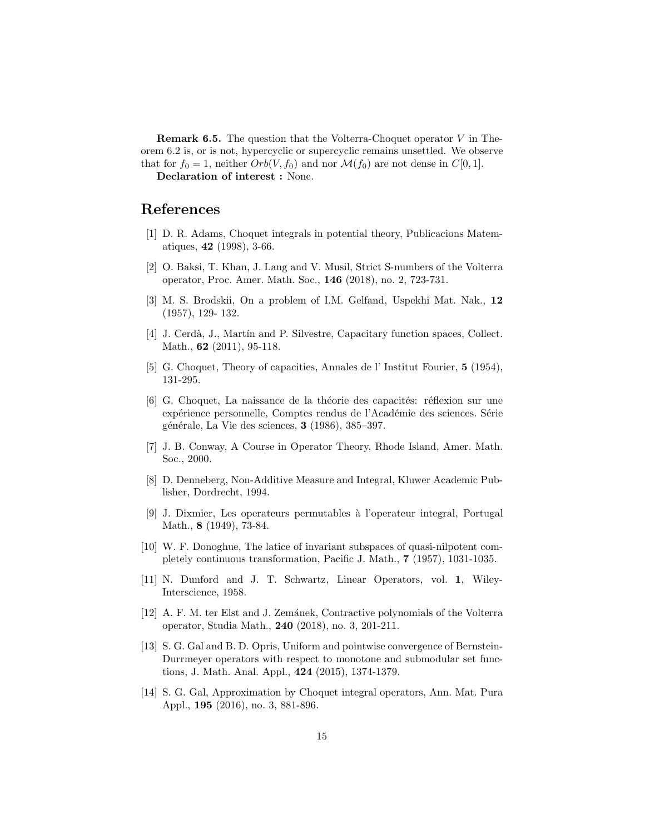**Remark 6.5.** The question that the Volterra-Choquet operator  $V$  in Theorem 6.2 is, or is not, hypercyclic or supercyclic remains unsettled. We observe that for  $f_0 = 1$ , neither  $Orb(V, f_0)$  and nor  $\mathcal{M}(f_0)$  are not dense in  $C[0, 1]$ .

Declaration of interest : None.

### <span id="page-14-3"></span>References

- <span id="page-14-9"></span>[1] D. R. Adams, Choquet integrals in potential theory, Publicacions Matematiques, 42 (1998), 3-66.
- [2] O. Baksi, T. Khan, J. Lang and V. Musil, Strict S-numbers of the Volterra operator, Proc. Amer. Math. Soc., 146 (2018), no. 2, 723-731.
- <span id="page-14-6"></span>[3] M. S. Brodskii, On a problem of I.M. Gelfand, Uspekhi Mat. Nak., 12 (1957), 129- 132.
- <span id="page-14-2"></span>[4] J. Cerdà, J., Martín and P. Silvestre, Capacitary function spaces, Collect. Math., **62** (2011), 95-118.
- <span id="page-14-1"></span><span id="page-14-0"></span>[5] G. Choquet, Theory of capacities, Annales de l' Institut Fourier, 5 (1954), 131-295.
- [6] G. Choquet, La naissance de la théorie des capacités: réflexion sur une expérience personnelle, Comptes rendus de l'Académie des sciences. Série générale, La Vie des sciences,  $3$  (1986), 385–397.
- <span id="page-14-11"></span><span id="page-14-5"></span>[7] J. B. Conway, A Course in Operator Theory, Rhode Island, Amer. Math. Soc., 2000.
- [8] D. Denneberg, Non-Additive Measure and Integral, Kluwer Academic Publisher, Dordrecht, 1994.
- <span id="page-14-7"></span>[9] J. Dixmier, Les operateurs permutables `a l'operateur integral, Portugal Math., 8 (1949), 73-84.
- <span id="page-14-8"></span>[10] W. F. Donoghue, The latice of invariant subspaces of quasi-nilpotent completely continuous transformation, Pacific J. Math., 7 (1957), 1031-1035.
- <span id="page-14-12"></span>[11] N. Dunford and J. T. Schwartz, Linear Operators, vol. 1, Wiley-Interscience, 1958.
- <span id="page-14-10"></span>[12] A. F. M. ter Elst and J. Zemánek, Contractive polynomials of the Volterra operator, Studia Math., 240 (2018), no. 3, 201-211.
- <span id="page-14-4"></span>[13] S. G. Gal and B. D. Opris, Uniform and pointwise convergence of Bernstein-Durrmeyer operators with respect to monotone and submodular set functions, J. Math. Anal. Appl., 424 (2015), 1374-1379.
- [14] S. G. Gal, Approximation by Choquet integral operators, Ann. Mat. Pura Appl., 195 (2016), no. 3, 881-896.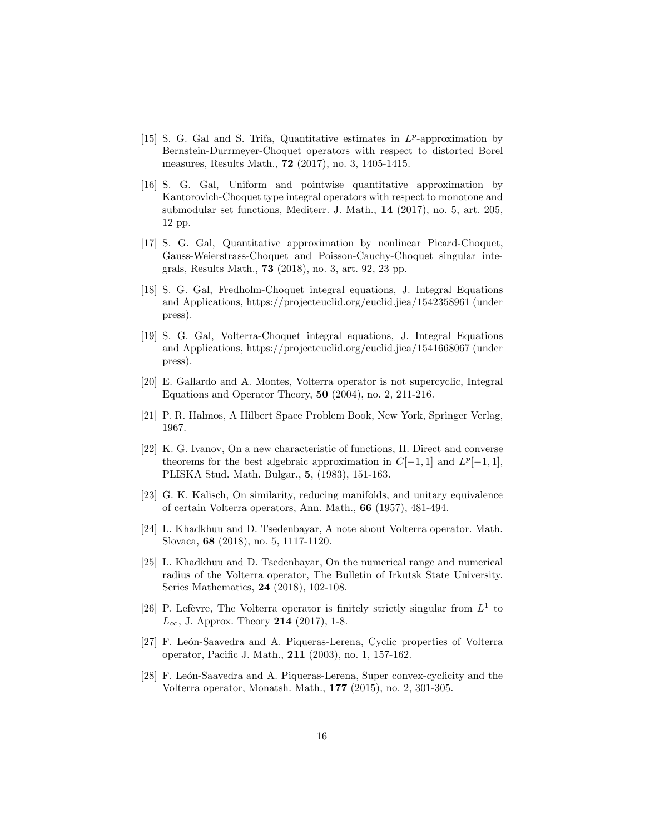- <span id="page-15-10"></span>[15] S. G. Gal and S. Trifa, Quantitative estimates in  $L^p$ -approximation by Bernstein-Durrmeyer-Choquet operators with respect to distorted Borel measures, Results Math., 72 (2017), no. 3, 1405-1415.
- [16] S. G. Gal, Uniform and pointwise quantitative approximation by Kantorovich-Choquet type integral operators with respect to monotone and submodular set functions, Mediterr. J. Math., 14 (2017), no. 5, art. 205, 12 pp.
- <span id="page-15-0"></span>[17] S. G. Gal, Quantitative approximation by nonlinear Picard-Choquet, Gauss-Weierstrass-Choquet and Poisson-Cauchy-Choquet singular integrals, Results Math., 73 (2018), no. 3, art. 92, 23 pp.
- <span id="page-15-1"></span>[18] S. G. Gal, Fredholm-Choquet integral equations, J. Integral Equations and Applications, https://projecteuclid.org/euclid.jiea/1542358961 (under press).
- <span id="page-15-2"></span>[19] S. G. Gal, Volterra-Choquet integral equations, J. Integral Equations and Applications, https://projecteuclid.org/euclid.jiea/1541668067 (under press).
- <span id="page-15-5"></span>[20] E. Gallardo and A. Montes, Volterra operator is not supercyclic, Integral Equations and Operator Theory, 50 (2004), no. 2, 211-216.
- <span id="page-15-11"></span><span id="page-15-3"></span>[21] P. R. Halmos, A Hilbert Space Problem Book, New York, Springer Verlag, 1967.
- [22] K. G. Ivanov, On a new characteristic of functions, II. Direct and converse theorems for the best algebraic approximation in  $C[-1, 1]$  and  $L^p[-1, 1]$ , PLISKA Stud. Math. Bulgar., 5, (1983), 151-163.
- <span id="page-15-4"></span>[23] G. K. Kalisch, On similarity, reducing manifolds, and unitary equivalence of certain Volterra operators, Ann. Math., 66 (1957), 481-494.
- <span id="page-15-8"></span>[24] L. Khadkhuu and D. Tsedenbayar, A note about Volterra operator. Math. Slovaca, 68 (2018), no. 5, 1117-1120.
- [25] L. Khadkhuu and D. Tsedenbayar, On the numerical range and numerical radius of the Volterra operator, The Bulletin of Irkutsk State University. Series Mathematics, 24 (2018), 102-108.
- <span id="page-15-9"></span>[26] P. Lefèvre, The Volterra operator is finitely strictly singular from  $L^1$  to  $L_{\infty}$ , J. Approx. Theory 214 (2017), 1-8.
- <span id="page-15-6"></span>[27] F. León-Saavedra and A. Piqueras-Lerena, Cyclic properties of Volterra operator, Pacific J. Math., 211 (2003), no. 1, 157-162.
- <span id="page-15-7"></span>[28] F. León-Saavedra and A. Piqueras-Lerena, Super convex-cyclicity and the Volterra operator, Monatsh. Math., 177 (2015), no. 2, 301-305.